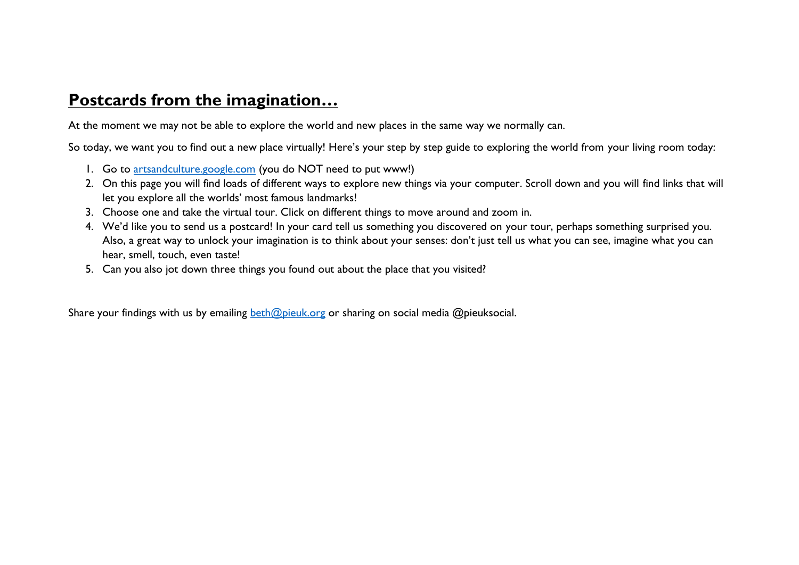## **Postcards from the imagination…**

At the moment we may not be able to explore the world and new places in the same way we normally can.

So today, we want you to find out a new place virtually! Here's your step by step guide to exploring the world from your living room today:

- 1. Go to [artsandculture.google.com](http://www.artsandculture.google.com/) (you do NOT need to put www!)
- 2. On this page you will find loads of different ways to explore new things via your computer. Scroll down and you will find links that will let you explore all the worlds' most famous landmarks!
- 3. Choose one and take the virtual tour. Click on different things to move around and zoom in.
- 4. We'd like you to send us a postcard! In your card tell us something you discovered on your tour, perhaps something surprised you. Also, a great way to unlock your imagination is to think about your senses: don't just tell us what you can see, imagine what you can hear, smell, touch, even taste!
- 5. Can you also jot down three things you found out about the place that you visited?

Share your findings with us by emailing [beth@pieuk.org](mailto:beth@pieuk.org) or sharing on social media @pieuksocial.